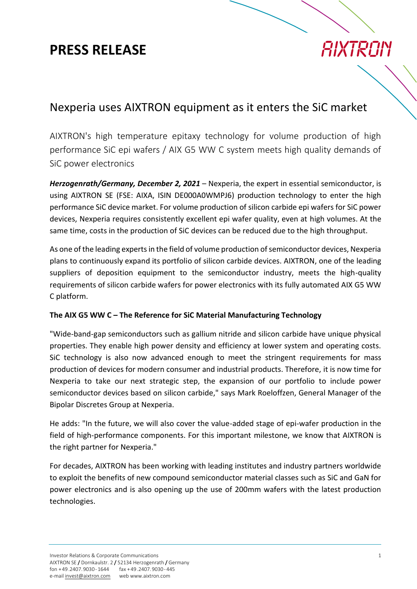### **PRESS RELEASE**

# **AIXTRON**

### Nexperia uses AIXTRON equipment as it enters the SiC market

AIXTRON's high temperature epitaxy technology for volume production of high performance SiC epi wafers / AIX G5 WW C system meets high quality demands of SiC power electronics

*Herzogenrath/Germany, December 2, 2021* – Nexperia, the expert in essential semiconductor, is using AIXTRON SE (FSE: AIXA, ISIN DE000A0WMPJ6) production technology to enter the high performance SiC device market. For volume production of silicon carbide epi wafers for SiC power devices, Nexperia requires consistently excellent epi wafer quality, even at high volumes. At the same time, costs in the production of SiC devices can be reduced due to the high throughput.

As one of the leading experts in the field of volume production of semiconductor devices, Nexperia plans to continuously expand its portfolio of silicon carbide devices. AIXTRON, one of the leading suppliers of deposition equipment to the semiconductor industry, meets the high-quality requirements of silicon carbide wafers for power electronics with its fully automated AIX G5 WW C platform.

#### **The AIX G5 WW C – The Reference for SiC Material Manufacturing Technology**

"Wide-band-gap semiconductors such as gallium nitride and silicon carbide have unique physical properties. They enable high power density and efficiency at lower system and operating costs. SiC technology is also now advanced enough to meet the stringent requirements for mass production of devices for modern consumer and industrial products. Therefore, it is now time for Nexperia to take our next strategic step, the expansion of our portfolio to include power semiconductor devices based on silicon carbide," says Mark Roeloffzen, General Manager of the Bipolar Discretes Group at Nexperia.

He adds: "In the future, we will also cover the value-added stage of epi-wafer production in the field of high-performance components. For this important milestone, we know that AIXTRON is the right partner for Nexperia."

For decades, AIXTRON has been working with leading institutes and industry partners worldwide to exploit the benefits of new compound semiconductor material classes such as SiC and GaN for power electronics and is also opening up the use of 200mm wafers with the latest production technologies.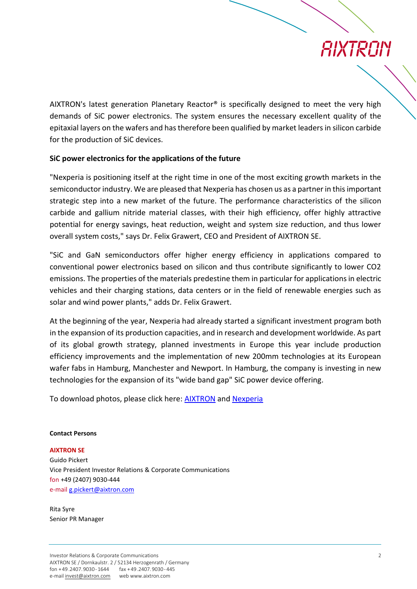# AIXTRON

AIXTRON's latest generation Planetary Reactor<sup>®</sup> is specifically designed to meet the very high demands of SiC power electronics. The system ensures the necessary excellent quality of the epitaxial layers on the wafers and has therefore been qualified by market leaders in silicon carbide for the production of SiC devices.

#### **SiC power electronics for the applications of the future**

"Nexperia is positioning itself at the right time in one of the most exciting growth markets in the semiconductor industry. We are pleased that Nexperia has chosen us as a partner in this important strategic step into a new market of the future. The performance characteristics of the silicon carbide and gallium nitride material classes, with their high efficiency, offer highly attractive potential for energy savings, heat reduction, weight and system size reduction, and thus lower overall system costs," says Dr. Felix Grawert, CEO and President of AIXTRON SE.

"SiC and GaN semiconductors offer higher energy efficiency in applications compared to conventional power electronics based on silicon and thus contribute significantly to lower CO2 emissions. The properties of the materials predestine them in particular for applications in electric vehicles and their charging stations, data centers or in the field of renewable energies such as solar and wind power plants," adds Dr. Felix Grawert.

At the beginning of the year, Nexperia had already started a significant investment program both in the expansion of its production capacities, and in research and development worldwide. As part of its global growth strategy, planned investments in Europe this year include production efficiency improvements and the implementation of new 200mm technologies at its European wafer fabs in Hamburg, Manchester and Newport. In Hamburg, the company is investing in new technologies for the expansion of its "wide band gap" SiC power device offering.

To download photos, please click here: [AIXTRON](https://www.aixtron.com/en/press/mediapool) and [Nexperia](https://www.nexperia.com/)

#### **Contact Persons**

**AIXTRON SE**

Guido Pickert Vice President Investor Relations & Corporate Communications fon +49 (2407) 9030-444 e-mai[l g.pickert@aixtron.com](mailto:g.pickert@aixtron.com)

Rita Syre Senior PR Manager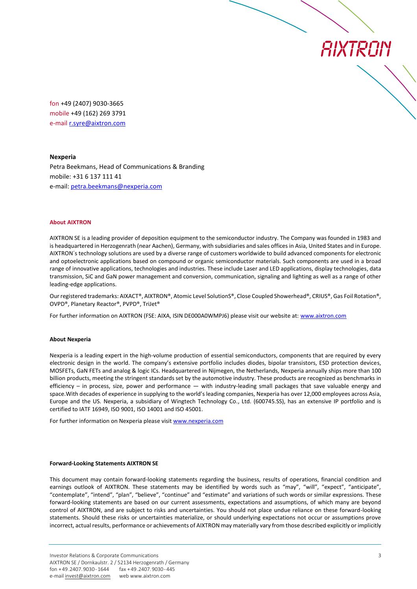AIXTRON

fon +49 (2407) 9030-3665 mobile +49 (162) 269 3791 e-mail [r.syre@aixtron.com](mailto:r.syre@aixtron.com)

#### **Nexperia**

Petra Beekmans, Head of Communications & Branding mobile: +31 6 137 111 41 e-mail: [petra.beekmans@nexperia.com](mailto:petra.beekmans@nexperia.com)

#### **About AIXTRON**

AIXTRON SE is a leading provider of deposition equipment to the semiconductor industry. The Company was founded in 1983 and is headquartered in Herzogenrath (near Aachen), Germany, with subsidiaries and sales offices in Asia, United States and in Europe. AIXTRON´s technology solutions are used by a diverse range of customers worldwide to build advanced components for electronic and optoelectronic applications based on compound or organic semiconductor materials. Such components are used in a broad range of innovative applications, technologies and industries. These include Laser and LED applications, display technologies, data transmission, SiC and GaN power management and conversion, communication, signaling and lighting as well as a range of other leading-edge applications.

Our registered trademarks: AIXACT®, AIXTRON®, Atomic Level SolutionS®, Close Coupled Showerhead®, CRIUS®, Gas Foil Rotation®, OVPD®, Planetary Reactor®, PVPD®, TriJet®

For further information on AIXTRON (FSE: AIXA, ISIN DE000A0WMPJ6) please visit our website at: [www.aixtron.com](http://www.aixtron.com/)

#### **About Nexperia**

Nexperia is a leading expert in the high-volume production of essential semiconductors, components that are required by every electronic design in the world. The company's extensive portfolio includes diodes, bipolar transistors, ESD protection devices, MOSFETs, GaN FETs and analog & logic ICs. Headquartered in Nijmegen, the Netherlands, Nexperia annually ships more than 100 billion products, meeting the stringent standards set by the automotive industry. These products are recognized as benchmarks in efficiency – in process, size, power and performance — with industry-leading small packages that save valuable energy and space.With decades of experience in supplying to the world's leading companies, Nexperia has over 12,000 employees across Asia, Europe and the US. Nexperia, a subsidiary of Wingtech Technology Co., Ltd. (600745.SS), has an extensive IP portfolio and is certified to IATF 16949, ISO 9001, ISO 14001 and ISO 45001.

For further information on Nexperia please visit [www.nexperia.com](http://www.nexperia.com/)

#### **Forward-Looking Statements AIXTRON SE**

This document may contain forward-looking statements regarding the business, results of operations, financial condition and earnings outlook of AIXTRON. These statements may be identified by words such as "may", "will", "expect", "anticipate", "contemplate", "intend", "plan", "believe", "continue" and "estimate" and variations of such words or similar expressions. These forward-looking statements are based on our current assessments, expectations and assumptions, of which many are beyond control of AIXTRON, and are subject to risks and uncertainties. You should not place undue reliance on these forward-looking statements. Should these risks or uncertainties materialize, or should underlying expectations not occur or assumptions prove incorrect, actual results, performance or achievements of AIXTRON may materially vary from those described explicitly or implicitly